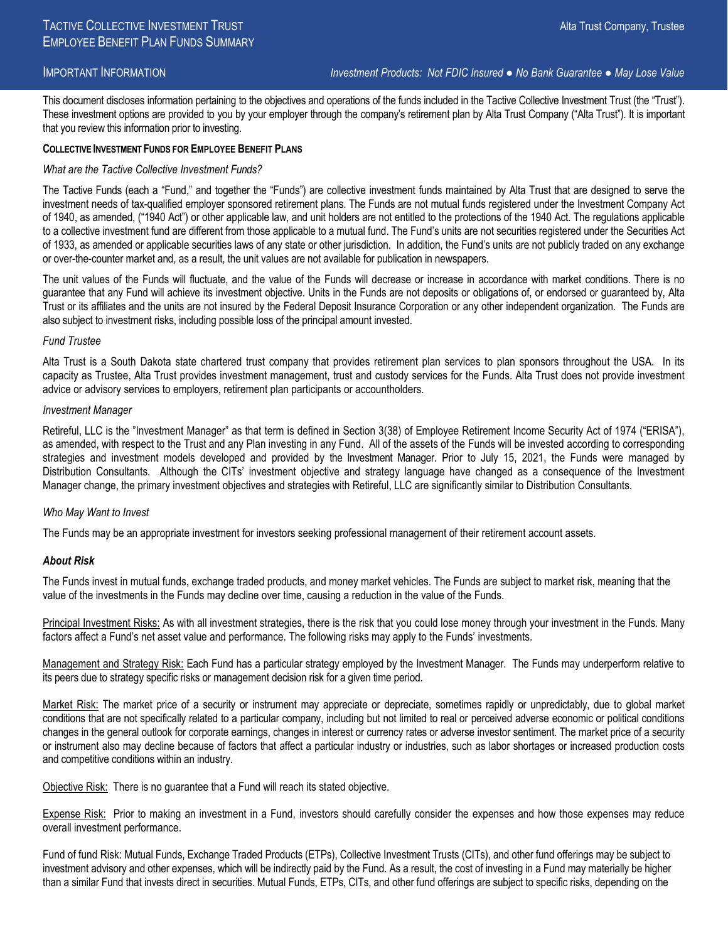## IMPORTANT INFORMATION *Investment Products: Not FDIC Insured ● No Bank Guarantee ● May Lose Value*

This document discloses information pertaining to the objectives and operations of the funds included in the Tactive Collective Investment Trust (the "Trust"). These investment options are provided to you by your employer through the company's retirement plan by Alta Trust Company ("Alta Trust"). It is important that you review this information prior to investing.

## **COLLECTIVE INVESTMENT FUNDS FOR EMPLOYEE BENEFIT PLANS**

## *What are the Tactive Collective Investment Funds?*

The Tactive Funds (each a "Fund," and together the "Funds") are collective investment funds maintained by Alta Trust that are designed to serve the investment needs of tax-qualified employer sponsored retirement plans. The Funds are not mutual funds registered under the Investment Company Act of 1940, as amended, ("1940 Act") or other applicable law, and unit holders are not entitled to the protections of the 1940 Act. The regulations applicable to a collective investment fund are different from those applicable to a mutual fund. The Fund's units are not securities registered under the Securities Act of 1933, as amended or applicable securities laws of any state or other jurisdiction. In addition, the Fund's units are not publicly traded on any exchange or over-the-counter market and, as a result, the unit values are not available for publication in newspapers.

The unit values of the Funds will fluctuate, and the value of the Funds will decrease or increase in accordance with market conditions. There is no guarantee that any Fund will achieve its investment objective. Units in the Funds are not deposits or obligations of, or endorsed or guaranteed by, Alta Trust or its affiliates and the units are not insured by the Federal Deposit Insurance Corporation or any other independent organization. The Funds are also subject to investment risks, including possible loss of the principal amount invested.

### *Fund Trustee*

Alta Trust is a South Dakota state chartered trust company that provides retirement plan services to plan sponsors throughout the USA. In its capacity as Trustee, Alta Trust provides investment management, trust and custody services for the Funds. Alta Trust does not provide investment advice or advisory services to employers, retirement plan participants or accountholders.

### *Investment Manager*

Retireful, LLC is the "Investment Manager" as that term is defined in Section 3(38) of Employee Retirement Income Security Act of 1974 ("ERISA"), as amended, with respect to the Trust and any Plan investing in any Fund. All of the assets of the Funds will be invested according to corresponding strategies and investment models developed and provided by the Investment Manager. Prior to July 15, 2021, the Funds were managed by Distribution Consultants. Although the CITs' investment objective and strategy language have changed as a consequence of the Investment Manager change, the primary investment objectives and strategies with Retireful, LLC are significantly similar to Distribution Consultants.

# *Who May Want to Invest*

The Funds may be an appropriate investment for investors seeking professional management of their retirement account assets.

# *About Risk*

The Funds invest in mutual funds, exchange traded products, and money market vehicles. The Funds are subject to market risk, meaning that the value of the investments in the Funds may decline over time, causing a reduction in the value of the Funds.

Principal Investment Risks: As with all investment strategies, there is the risk that you could lose money through your investment in the Funds. Many factors affect a Fund's net asset value and performance. The following risks may apply to the Funds' investments.

Management and Strategy Risk: Each Fund has a particular strategy employed by the Investment Manager. The Funds may underperform relative to its peers due to strategy specific risks or management decision risk for a given time period.

Market Risk: The market price of a security or instrument may appreciate or depreciate, sometimes rapidly or unpredictably, due to global market conditions that are not specifically related to a particular company, including but not limited to real or perceived adverse economic or political conditions changes in the general outlook for corporate earnings, changes in interest or currency rates or adverse investor sentiment. The market price of a security or instrument also may decline because of factors that affect a particular industry or industries, such as labor shortages or increased production costs and competitive conditions within an industry.

Objective Risk: There is no guarantee that a Fund will reach its stated objective.

Expense Risk: Prior to making an investment in a Fund, investors should carefully consider the expenses and how those expenses may reduce overall investment performance.

Fund of fund Risk: Mutual Funds, Exchange Traded Products (ETPs), Collective Investment Trusts (CITs), and other fund offerings may be subject to investment advisory and other expenses, which will be indirectly paid by the Fund. As a result, the cost of investing in a Fund may materially be higher than a similar Fund that invests direct in securities. Mutual Funds, ETPs, CITs, and other fund offerings are subject to specific risks, depending on the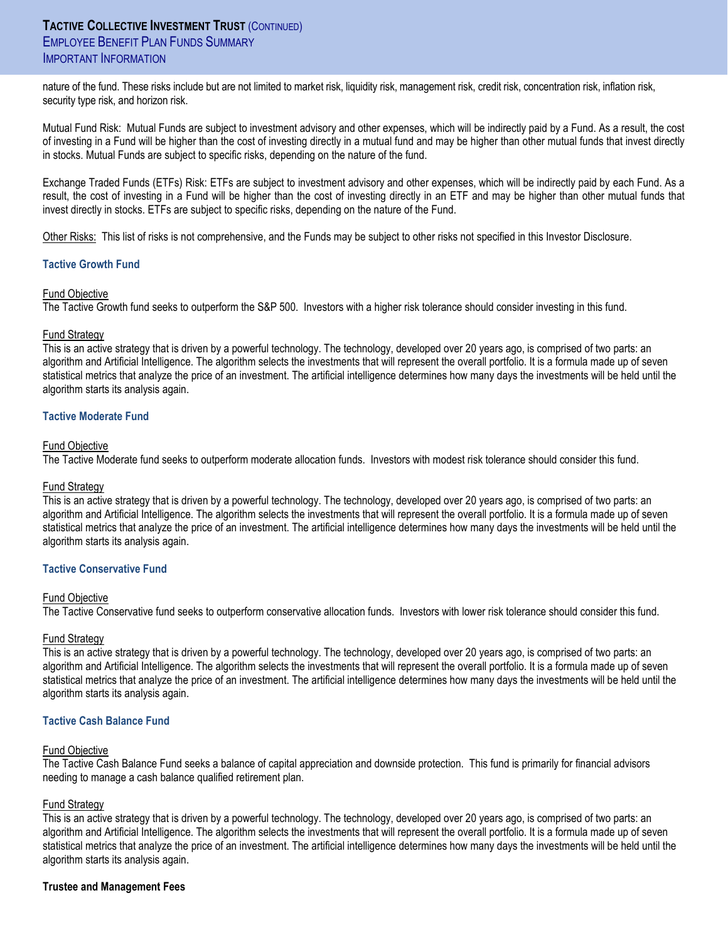nature of the fund. These risks include but are not limited to market risk, liquidity risk, management risk, credit risk, concentration risk, inflation risk, security type risk, and horizon risk.

Mutual Fund Risk: Mutual Funds are subject to investment advisory and other expenses, which will be indirectly paid by a Fund. As a result, the cost of investing in a Fund will be higher than the cost of investing directly in a mutual fund and may be higher than other mutual funds that invest directly in stocks. Mutual Funds are subject to specific risks, depending on the nature of the fund.

Exchange Traded Funds (ETFs) Risk: ETFs are subject to investment advisory and other expenses, which will be indirectly paid by each Fund. As a result, the cost of investing in a Fund will be higher than the cost of investing directly in an ETF and may be higher than other mutual funds that invest directly in stocks. ETFs are subject to specific risks, depending on the nature of the Fund.

Other Risks: This list of risks is not comprehensive, and the Funds may be subject to other risks not specified in this Investor Disclosure.

# **Tactive Growth Fund**

# Fund Objective

The Tactive Growth fund seeks to outperform the S&P 500. Investors with a higher risk tolerance should consider investing in this fund.

## Fund Strategy

This is an active strategy that is driven by a powerful technology. The technology, developed over 20 years ago, is comprised of two parts: an algorithm and Artificial Intelligence. The algorithm selects the investments that will represent the overall portfolio. It is a formula made up of seven statistical metrics that analyze the price of an investment. The artificial intelligence determines how many days the investments will be held until the algorithm starts its analysis again.

## **Tactive Moderate Fund**

## Fund Objective

The Tactive Moderate fund seeks to outperform moderate allocation funds. Investors with modest risk tolerance should consider this fund.

### Fund Strategy

This is an active strategy that is driven by a powerful technology. The technology, developed over 20 years ago, is comprised of two parts: an algorithm and Artificial Intelligence. The algorithm selects the investments that will represent the overall portfolio. It is a formula made up of seven statistical metrics that analyze the price of an investment. The artificial intelligence determines how many days the investments will be held until the algorithm starts its analysis again.

# **Tactive Conservative Fund**

### Fund Objective

The Tactive Conservative fund seeks to outperform conservative allocation funds. Investors with lower risk tolerance should consider this fund.

### Fund Strategy

This is an active strategy that is driven by a powerful technology. The technology, developed over 20 years ago, is comprised of two parts: an algorithm and Artificial Intelligence. The algorithm selects the investments that will represent the overall portfolio. It is a formula made up of seven statistical metrics that analyze the price of an investment. The artificial intelligence determines how many days the investments will be held until the algorithm starts its analysis again.

## **Tactive Cash Balance Fund**

### Fund Objective

The Tactive Cash Balance Fund seeks a balance of capital appreciation and downside protection. This fund is primarily for financial advisors needing to manage a cash balance qualified retirement plan.

# **Fund Strategy**

This is an active strategy that is driven by a powerful technology. The technology, developed over 20 years ago, is comprised of two parts: an algorithm and Artificial Intelligence. The algorithm selects the investments that will represent the overall portfolio. It is a formula made up of seven statistical metrics that analyze the price of an investment. The artificial intelligence determines how many days the investments will be held until the algorithm starts its analysis again.

# **Trustee and Management Fees**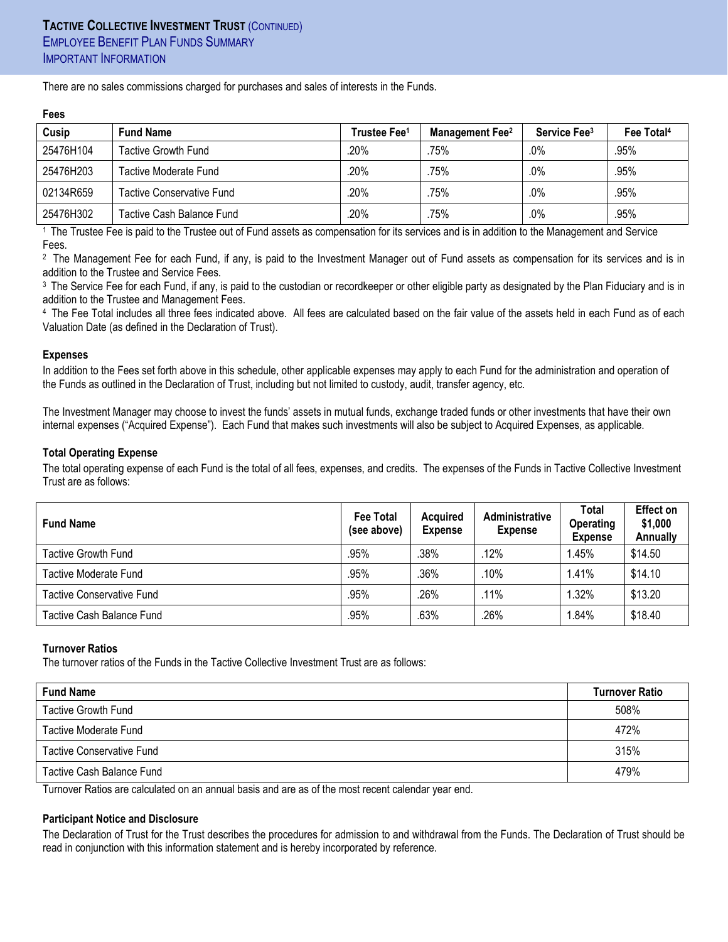There are no sales commissions charged for purchases and sales of interests in the Funds.

| .         |                                  |                          |                                    |                          |                        |  |  |  |  |
|-----------|----------------------------------|--------------------------|------------------------------------|--------------------------|------------------------|--|--|--|--|
| Cusip     | <b>Fund Name</b>                 | Trustee Fee <sup>1</sup> | <b>Management Fee</b> <sup>2</sup> | Service Fee <sup>3</sup> | Fee Total <sup>4</sup> |  |  |  |  |
| 25476H104 | <b>Tactive Growth Fund</b>       | .20%                     | 75%                                | .0%                      | .95%                   |  |  |  |  |
| 25476H203 | Tactive Moderate Fund            | 20%                      | 75%                                | .0%                      | .95%                   |  |  |  |  |
| 02134R659 | <b>Tactive Conservative Fund</b> | .20%                     | 75%                                | .0%                      | .95%                   |  |  |  |  |
| 25476H302 | Tactive Cash Balance Fund        | 20%                      | 75%                                | .0%                      | .95%                   |  |  |  |  |

1 The Trustee Fee is paid to the Trustee out of Fund assets as compensation for its services and is in addition to the Management and Service Fees.

2 The Management Fee for each Fund, if any, is paid to the Investment Manager out of Fund assets as compensation for its services and is in addition to the Trustee and Service Fees.

<sup>3</sup> The Service Fee for each Fund, if any, is paid to the custodian or recordkeeper or other eligible party as designated by the Plan Fiduciary and is in addition to the Trustee and Management Fees.

4 The Fee Total includes all three fees indicated above. All fees are calculated based on the fair value of the assets held in each Fund as of each Valuation Date (as defined in the Declaration of Trust).

## **Expenses**

**Fees**

In addition to the Fees set forth above in this schedule, other applicable expenses may apply to each Fund for the administration and operation of the Funds as outlined in the Declaration of Trust, including but not limited to custody, audit, transfer agency, etc.

The Investment Manager may choose to invest the funds' assets in mutual funds, exchange traded funds or other investments that have their own internal expenses ("Acquired Expense"). Each Fund that makes such investments will also be subject to Acquired Expenses, as applicable.

## **Total Operating Expense**

The total operating expense of each Fund is the total of all fees, expenses, and credits. The expenses of the Funds in Tactive Collective Investment Trust are as follows:

| <b>Fund Name</b>          | <b>Fee Total</b><br>(see above) | <b>Acquired</b><br><b>Expense</b> | Administrative<br><b>Expense</b> | Total<br><b>Operating</b><br><b>Expense</b> | Effect on<br>\$1,000<br>Annually |
|---------------------------|---------------------------------|-----------------------------------|----------------------------------|---------------------------------------------|----------------------------------|
| Tactive Growth Fund       | .95%                            | .38%                              | .12%                             | 1.45%                                       | \$14.50                          |
| Tactive Moderate Fund     | .95%                            | .36%                              | .10%                             | 1.41%                                       | \$14.10                          |
| Tactive Conservative Fund | .95%                            | .26%                              | .11%                             | 1.32%                                       | \$13.20                          |
| Tactive Cash Balance Fund | .95%                            | .63%                              | .26%                             | 1.84%                                       | \$18.40                          |

### **Turnover Ratios**

The turnover ratios of the Funds in the Tactive Collective Investment Trust are as follows:

| <b>Fund Name</b>          | <b>Turnover Ratio</b> |  |
|---------------------------|-----------------------|--|
| Tactive Growth Fund       | 508%                  |  |
| Tactive Moderate Fund     | 472%                  |  |
| Tactive Conservative Fund | 315%                  |  |
| Tactive Cash Balance Fund | 479%                  |  |

Turnover Ratios are calculated on an annual basis and are as of the most recent calendar year end.

# **Participant Notice and Disclosure**

The Declaration of Trust for the Trust describes the procedures for admission to and withdrawal from the Funds. The Declaration of Trust should be read in conjunction with this information statement and is hereby incorporated by reference.